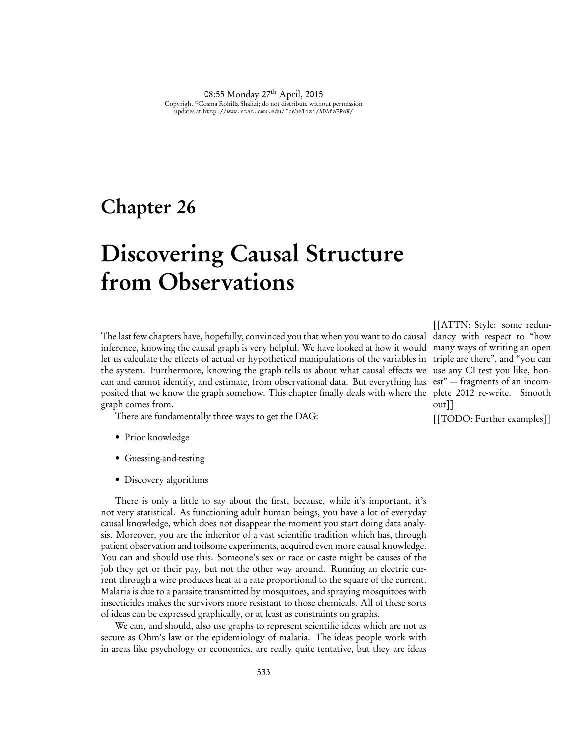08:55 Monday 27th April, 2015 Copyright ©Cosma Rohilla Shalizi; do not distribute without permission updates at http://www.stat.cmu.edu/~cshalizi/ADAfaEPoV/

# Chapter 26

# Discovering Causal Structure from Observations

The last few chapters have, hopefully, convinced you that when you want to do causal dancy with respect to "how inference, knowing the causal graph is very helpful. We have looked at how it would many ways of writing an open let us calculate the effects of actual or hypothetical manipulations of the variables in triple are there", and "you can the system. Furthermore, knowing the graph tells us about what causal effects we use any CI test you like, honcan and cannot identify, and estimate, from observational data. But everything has est" — fragments of an incomposited that we know the graph somehow. This chapter finally deals with where the plete 2012 re-write. Smooth graph comes from.

There are fundamentally three ways to get the DAG:

- Prior knowledge
- Guessing-and-testing
- Discovery algorithms

There is only a little to say about the first, because, while it's important, it's not very statistical. As functioning adult human beings, you have a lot of everyday causal knowledge, which does not disappear the moment you start doing data analysis. Moreover, you are the inheritor of a vast scientific tradition which has, through patient observation and toilsome experiments, acquired even more causal knowledge. You can and should use this. Someone's sex or race or caste might be causes of the job they get or their pay, but not the other way around. Running an electric current through a wire produces heat at a rate proportional to the square of the current. Malaria is due to a parasite transmitted by mosquitoes, and spraying mosquitoes with insecticides makes the survivors more resistant to those chemicals. All of these sorts of ideas can be expressed graphically, or at least as constraints on graphs.

We can, and should, also use graphs to represent scientific ideas which are not as secure as Ohm's law or the epidemiology of malaria. The ideas people work with in areas like psychology or economics, are really quite tentative, but they are ideas

[[ATTN: Style: some redunout]]

[[TODO: Further examples]]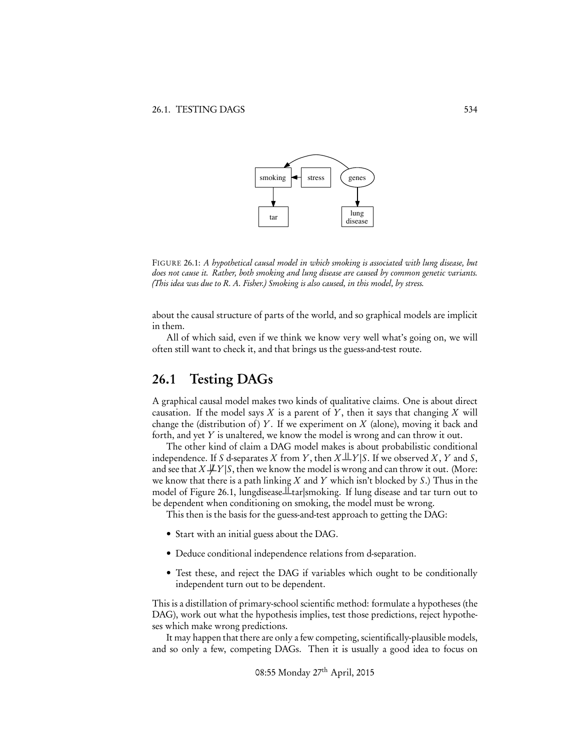

FIGURE 26.1: *A hypothetical causal model in which smoking is associated with lung disease, but does not cause it. Rather, both smoking and lung disease are caused by common genetic variants. (This idea was due to R. A. Fisher.) Smoking is also caused, in this model, by stress.*

about the causal structure of parts of the world, and so graphical models are implicit in them.

All of which said, even if we think we know very well what's going on, we will often still want to check it, and that brings us the guess-and-test route.

### 26.1 Testing DAGs

A graphical causal model makes two kinds of qualitative claims. One is about direct causation. If the model says  $X$  is a parent of  $Y$ , then it says that changing  $X$  will change the (distribution of) *Y*. If we experiment on *X* (alone), moving it back and forth, and yet *Y* is unaltered, we know the model is wrong and can throw it out.

The other kind of claim a DAG model makes is about probabilistic conditional independence. If *S* d-separates *X* from *Y*, then  $X \perp Y | S$ . If we observed *X*, *Y* and *S*, and see that  $X \not\perp Y | S$ , then we know the model is wrong and can throw it out. (More: we know that there is a path linking *X* and *Y* which isn't blocked by *S*.) Thus in the model of Figure 26.1, lungdisease <u>µ</u>tar|smoking. If lung disease and tar turn out to be dependent when conditioning on smoking, the model must be wrong.

This then is the basis for the guess-and-test approach to getting the DAG:

- Start with an initial guess about the DAG.
- Deduce conditional independence relations from d-separation.
- Test these, and reject the DAG if variables which ought to be conditionally independent turn out to be dependent.

This is a distillation of primary-school scientific method: formulate a hypotheses (the DAG), work out what the hypothesis implies, test those predictions, reject hypotheses which make wrong predictions.

It may happen that there are only a few competing, scientifically-plausible models, and so only a few, competing DAGs. Then it is usually a good idea to focus on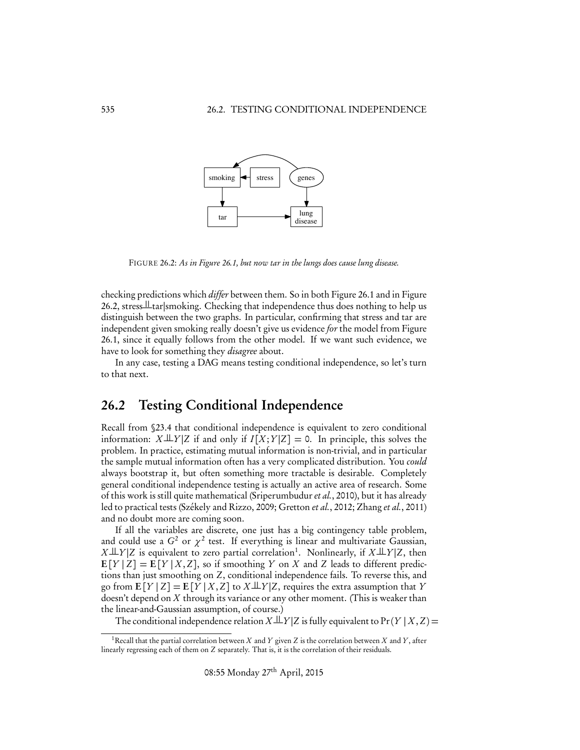

FIGURE 26.2: *As in Figure 26.1, but now tar in the lungs does cause lung disease.*

checking predictions which *differ* between them. So in both Figure 26.1 and in Figure 26.2, stress **I**tar/smoking. Checking that independence thus does nothing to help us distinguish between the two graphs. In particular, confirming that stress and tar are independent given smoking really doesn't give us evidence *for* the model from Figure 26.1, since it equally follows from the other model. If we want such evidence, we have to look for something they *disagree* about.

In any case, testing a DAG means testing conditional independence, so let's turn to that next.

### 26.2 Testing Conditional Independence

Recall from §23.4 that conditional independence is equivalent to zero conditional information:  $X \perp \!\!\!\perp Y | Z$  if and only if  $I[X; Y|Z] = 0$ . In principle, this solves the problem. In practice, estimating mutual information is non-trivial, and in particular the sample mutual information often has a very complicated distribution. You *could* always bootstrap it, but often something more tractable is desirable. Completely general conditional independence testing is actually an active area of research. Some of this work is still quite mathematical (Sriperumbudur *et al.*, 2010), but it has already led to practical tests (Székely and Rizzo, 2009; Gretton *et al.*, 2012; Zhang *et al.*, 2011) and no doubt more are coming soon.

If all the variables are discrete, one just has a big contingency table problem, and could use a  $G^2$  or  $\chi^2$  test. If everything is linear and multivariate Gaussian,  $X \perp \!\!\!\perp Y$  *[Z* is equivalent to zero partial correlation<sup>1</sup>. Nonlinearly, if  $X \perp \!\!\!\perp Y$  *[Z*, then  $E[Y|Z] = E[Y|X,Z]$ , so if smoothing *Y* on *X* and *Z* leads to different predictions than just smoothing on *Z*, conditional independence fails. To reverse this, and go from  $E[Y|Z] = E[Y|X,Z]$  to  $X \perp Y|Z$ , requires the extra assumption that *Y* doesn't depend on *X* through its variance or any other moment. (This is weaker than the linear-and-Gaussian assumption, of course.)

The conditional independence relation  $X \perp Y | Z$  is fully equivalent to  $Pr(Y | X, Z)$  =

<sup>&</sup>lt;sup>1</sup>Recall that the partial correlation between *X* and *Y* given *Z* is the correlation between *X* and *Y*, after linearly regressing each of them on *Z* separately. That is, it is the correlation of their residuals.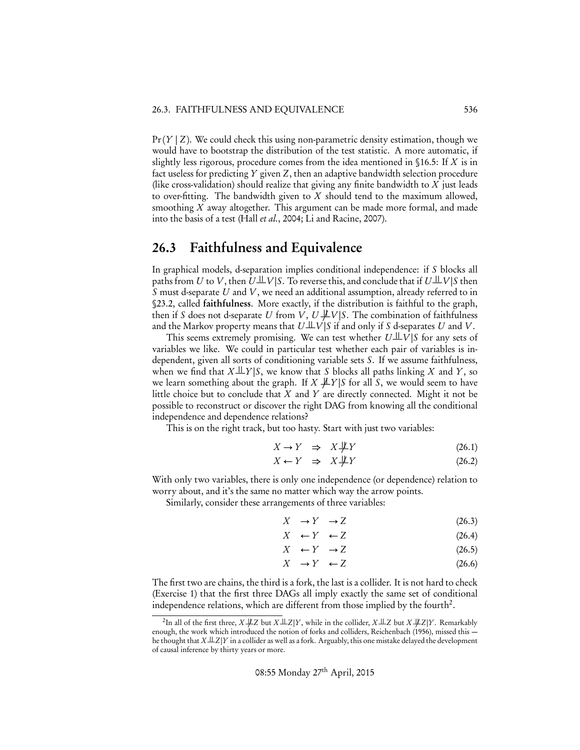$Pr(Y | Z)$ . We could check this using non-parametric density estimation, though we would have to bootstrap the distribution of the test statistic. A more automatic, if slightly less rigorous, procedure comes from the idea mentioned in §16.5: If *X* is in fact useless for predicting *Y* given *Z*, then an adaptive bandwidth selection procedure (like cross-validation) should realize that giving any finite bandwidth to *X* just leads to over-fitting. The bandwidth given to *X* should tend to the maximum allowed, smoothing *X* away altogether. This argument can be made more formal, and made into the basis of a test (Hall *et al.*, 2004; Li and Racine, 2007).

### 26.3 Faithfulness and Equivalence

In graphical models, d-separation implies conditional independence: if *S* blocks all paths from *U* to *V*, then  $U \perp \!\!\! \perp V | S$ . To reverse this, and conclude that if  $U \perp \!\!\! \perp V | S$  then *S* must d-separate *U* and *V* , we need an additional assumption, already referred to in §23.2, called faithfulness. More exactly, if the distribution is faithful to the graph, then if *S* does not d-separate *U* from *V*,  $U \not\perp V$  *S*. The combination of faithfulness and the Markov property means that  $U \perp \!\!\! \perp V | S$  if and only if *S* d-separates *U* and *V*.

This seems extremely promising. We can test whether  $U \perp V | S$  for any sets of variables we like. We could in particular test whether each pair of variables is independent, given all sorts of conditioning variable sets *S*. If we assume faithfulness, when we find that  $X \perp \!\!\!\perp Y | S$ , we know that *S* blocks all paths linking *X* and *Y*, so we learn something about the graph. If  $X \not\perp Y$  *S* for all *S*, we would seem to have little choice but to conclude that *X* and *Y* are directly connected. Might it not be possible to reconstruct or discover the right DAG from knowing all the conditional independence and dependence relations?

This is on the right track, but too hasty. Start with just two variables:

$$
X \to Y \quad \Rightarrow \quad X \not\perp Y \tag{26.1}
$$

$$
X \leftarrow Y \quad \Rightarrow \quad X \not\perp Y \tag{26.2}
$$

With only two variables, there is only one independence (or dependence) relation to worry about, and it's the same no matter which way the arrow points.

Similarly, consider these arrangements of three variables:

$$
X \to Y \to Z \tag{26.3}
$$

$$
X \leftarrow Y \leftarrow Z \tag{26.4}
$$

 $X \leftarrow Y \rightarrow Z$  (26.5)

$$
X \to Y \leftarrow Z \tag{26.6}
$$

The first two are chains, the third is a fork, the last is a collider. It is not hard to check (Exercise 1) that the first three DAGs all imply exactly the same set of conditional independence relations, which are different from those implied by the fourth<sup>2</sup>.

<sup>&</sup>lt;sup>2</sup>In all of the first three,  $X \not\perp Z$  but  $X \not\perp Z | Y$ , while in the collider,  $X \not\perp Z$  but  $X \not\perp Z | Y$ . Remarkably enough, the work which introduced the notion of forks and colliders, Reichenbach (1956), missed this he thought that  $X \perp Z \mid Y$  in a collider as well as a fork. Arguably, this one mistake delayed the development of causal inference by thirty years or more.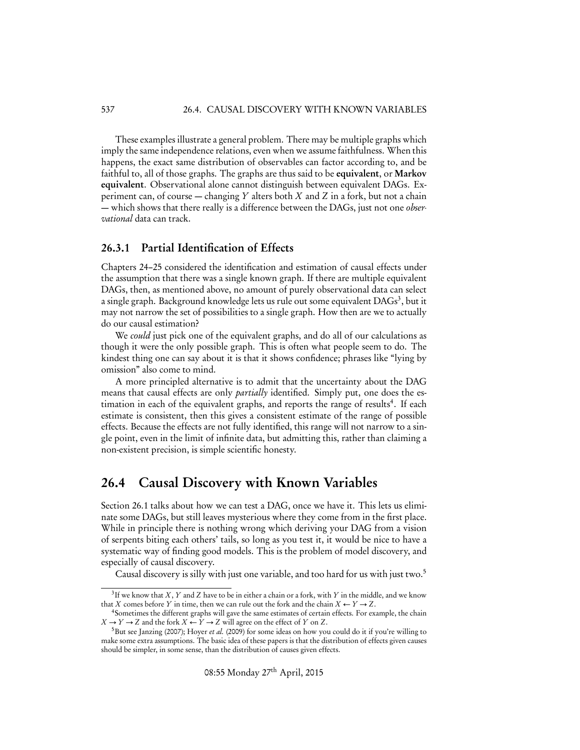These examples illustrate a general problem. There may be multiple graphs which imply the same independence relations, even when we assume faithfulness. When this happens, the exact same distribution of observables can factor according to, and be faithful to, all of those graphs. The graphs are thus said to be equivalent, or Markov equivalent. Observational alone cannot distinguish between equivalent DAGs. Experiment can, of course — changing *Y* alters both *X* and *Z* in a fork, but not a chain — which shows that there really is a difference between the DAGs, just not one *observational* data can track.

#### 26.3.1 Partial Identification of Effects

Chapters 24–25 considered the identification and estimation of causal effects under the assumption that there was a single known graph. If there are multiple equivalent DAGs, then, as mentioned above, no amount of purely observational data can select a single graph. Background knowledge lets us rule out some equivalent DAGs<sup>3</sup>, but it may not narrow the set of possibilities to a single graph. How then are we to actually do our causal estimation?

We *could* just pick one of the equivalent graphs, and do all of our calculations as though it were the only possible graph. This is often what people seem to do. The kindest thing one can say about it is that it shows confidence; phrases like "lying by omission" also come to mind.

A more principled alternative is to admit that the uncertainty about the DAG means that causal effects are only *partially* identified. Simply put, one does the estimation in each of the equivalent graphs, and reports the range of results<sup>4</sup>. If each estimate is consistent, then this gives a consistent estimate of the range of possible effects. Because the effects are not fully identified, this range will not narrow to a single point, even in the limit of infinite data, but admitting this, rather than claiming a non-existent precision, is simple scientific honesty.

### 26.4 Causal Discovery with Known Variables

Section 26.1 talks about how we can test a DAG, once we have it. This lets us eliminate some DAGs, but still leaves mysterious where they come from in the first place. While in principle there is nothing wrong which deriving your DAG from a vision of serpents biting each others' tails, so long as you test it, it would be nice to have a systematic way of finding good models. This is the problem of model discovery, and especially of causal discovery.

Causal discovery is silly with just one variable, and too hard for us with just two.5

<sup>3</sup>If we know that *X* , *Y* and *Z* have to be in either a chain or a fork, with *Y* in the middle, and we know that *X* comes before *Y* in time, then we can rule out the fork and the chain  $X \leftarrow Y \rightarrow Z$ .<br><sup>4</sup>Sometimes the different graphs will gave the same estimates of certain effects. For example, the chain

 $X \to Y \to Z$  and the fork  $X \leftarrow Y \to Z$  will agree on the effect of Y on Z.<br><sup>5</sup>But see Janzing (2007); Hoyer *et al.* (2009) for some ideas on how you could do it if you're willing to

make some extra assumptions. The basic idea of these papers is that the distribution of effects given causes should be simpler, in some sense, than the distribution of causes given effects.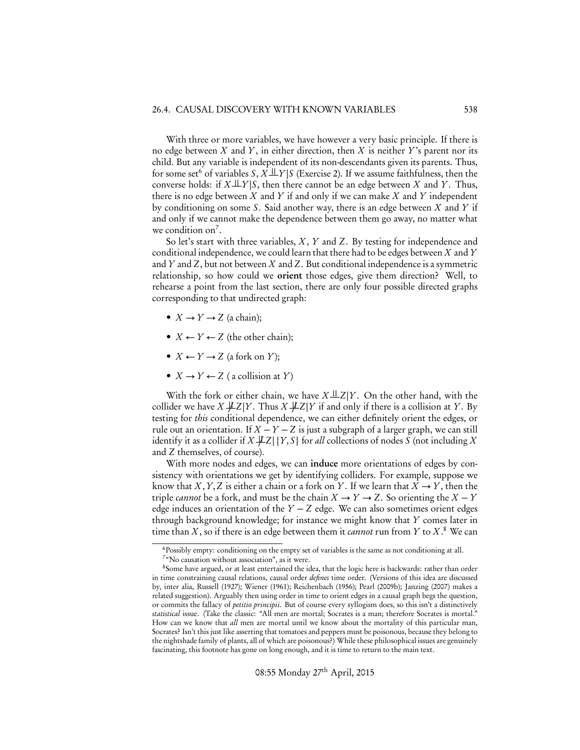With three or more variables, we have however a very basic principle. If there is no edge between *X* and *Y*, in either direction, then *X* is neither *Y*'s parent nor its child. But any variable is independent of its non-descendants given its parents. Thus, for some set<sup>6</sup> of variables *S*,  $X \perp \!\!\!\perp Y$  *S* (Exercise 2). If we assume faithfulness, then the converse holds: if  $X \perp \!\!\!\perp Y | S$ , then there cannot be an edge between X and Y. Thus, there is no edge between *X* and *Y* if and only if we can make *X* and *Y* independent by conditioning on some *S*. Said another way, there is an edge between *X* and *Y* if and only if we cannot make the dependence between them go away, no matter what we condition on<sup>7</sup>.

So let's start with three variables, *X* , *Y* and *Z*. By testing for independence and conditional independence, we could learn that there had to be edges between *X* and *Y* and *Y* and *Z*, but not between *X* and *Z*. But conditional independence is a symmetric relationship, so how could we orient those edges, give them direction? Well, to rehearse a point from the last section, there are only four possible directed graphs corresponding to that undirected graph:

- $X \rightarrow Y \rightarrow Z$  (a chain);
- $X \leftarrow Y \leftarrow Z$  (the other chain);
- $X \leftarrow Y \rightarrow Z$  (a fork on *Y*);
- $X \rightarrow Y \leftarrow Z$  (a collision at *Y*)

With the fork or either chain, we have  $X \perp\!\!\!\perp Z | Y$ . On the other hand, with the collider we have  $X \not\perp Z|Y$ . Thus  $X \not\perp Z|Y$  if and only if there is a collision at *Y*. By testing for *this* conditional dependence, we can either definitely orient the edges, or rule out an orientation. If  $X - Y - Z$  is just a subgraph of a larger graph, we can still identify it as a collider if  $X \not\perp Z$   $\{Y, S\}$  for *all* collections of nodes *S* (not including *X* and *Z* themselves, of course).

With more nodes and edges, we can induce more orientations of edges by consistency with orientations we get by identifying colliders. For example, suppose we know that *X*, *Y*, *Z* is either a chain or a fork on *Y*. If we learn that  $X \rightarrow Y$ , then the triple *cannot* be a fork, and must be the chain  $X \to Y \to Z$ . So orienting the  $X - Y$ edge induces an orientation of the  $Y - Z$  edge. We can also sometimes orient edges through background knowledge; for instance we might know that *Y* comes later in time than  $X$ , so if there is an edge between them it *cannot* run from  $Y$  to  $X$ .<sup>8</sup> We can

<sup>&</sup>lt;sup>6</sup>Possibly empty: conditioning on the empty set of variables is the same as not conditioning at all.

<sup>7&</sup>quot;No causation without association", as it were.

<sup>&</sup>lt;sup>8</sup>Some have argued, or at least entertained the idea, that the logic here is backwards: rather than order in time constraining causal relations, causal order *defines* time order. (Versions of this idea are discussed by, inter alia, Russell (1927); Wiener (1961); Reichenbach (1956); Pearl (2009b); Janzing (2007) makes a related suggestion). Arguably then using order in time to orient edges in a causal graph begs the question, or commits the fallacy of *petitio principii*. But of course every syllogism does, so this isn't a distinctively *statistical* issue. (Take the classic: "All men are mortal; Socrates is a man; therefore Socrates is mortal." How can we know that *all* men are mortal until we know about the mortality of this particular man, Socrates? Isn't this just like asserting that tomatoes and peppers must be poisonous, because they belong to the nightshade family of plants, all of which are poisonous?) While these philosophical issues are genuinely fascinating, this footnote has gone on long enough, and it is time to return to the main text.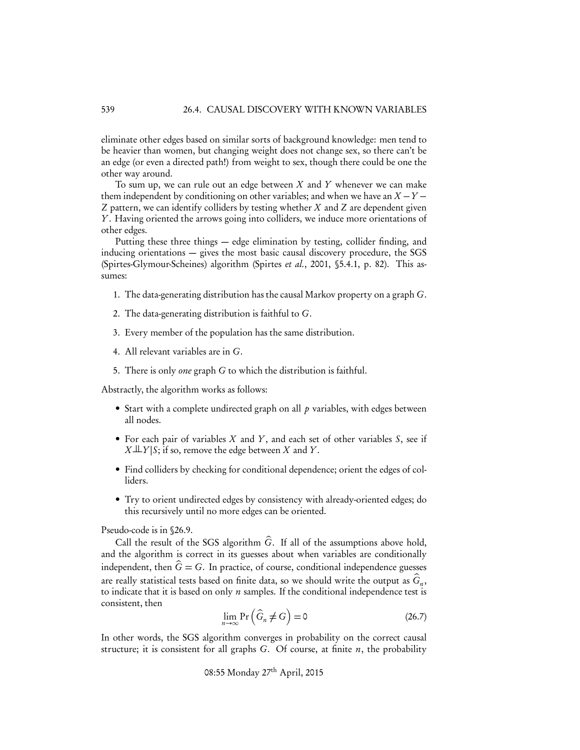eliminate other edges based on similar sorts of background knowledge: men tend to be heavier than women, but changing weight does not change sex, so there can't be an edge (or even a directed path!) from weight to sex, though there could be one the other way around.

To sum up, we can rule out an edge between *X* and *Y* whenever we can make them independent by conditioning on other variables; and when we have an  $X - Y -$ *Z* pattern, we can identify colliders by testing whether *X* and *Z* are dependent given *Y*. Having oriented the arrows going into colliders, we induce more orientations of other edges.

Putting these three things — edge elimination by testing, collider finding, and inducing orientations — gives the most basic causal discovery procedure, the SGS (Spirtes-Glymour-Scheines) algorithm (Spirtes *et al.*, 2001, §5.4.1, p. 82). This assumes:

- 1. The data-generating distribution has the causal Markov property on a graph *G*.
- 2. The data-generating distribution is faithful to *G*.
- 3. Every member of the population has the same distribution.
- 4. All relevant variables are in *G*.
- 5. There is only *one* graph *G* to which the distribution is faithful.

Abstractly, the algorithm works as follows:

- Start with a complete undirected graph on all *p* variables, with edges between all nodes.
- For each pair of variables *X* and *Y*, and each set of other variables *S*, see if  $X \perp\!\!\!\perp Y$  *S*; if so, remove the edge between *X* and *Y*.
- Find colliders by checking for conditional dependence; orient the edges of colliders.
- Try to orient undirected edges by consistency with already-oriented edges; do this recursively until no more edges can be oriented.

Pseudo-code is in §26.9.

Call the result of the SGS algorithm *G*. If all of the assumptions above hold, and the algorithm is correct in its guesses about when variables are conditionally independent, then  $\hat{G} = G$ . In practice, of course, conditional independence guesses are really statistical tests based on finite data, so we should write the output as  $\hat{G}_n$ , to indicate that it is based on only *n* samples. If the conditional independence test is consistent, then

$$
\lim_{n \to \infty} \Pr\left(\widehat{G}_n \neq G\right) = 0 \tag{26.7}
$$

In other words, the SGS algorithm converges in probability on the correct causal structure; it is consistent for all graphs *G*. Of course, at finite *n*, the probability

08:55 Monday 27th April, 2015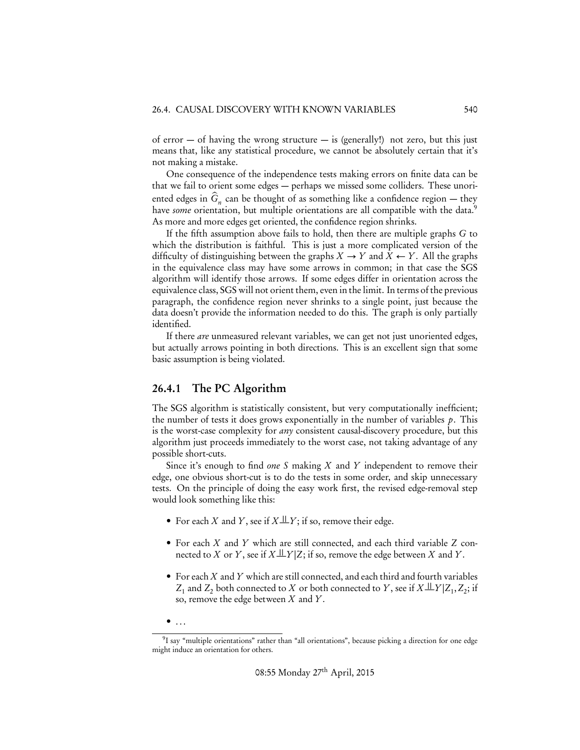of error  $-$  of having the wrong structure  $-$  is (generally!) not zero, but this just means that, like any statistical procedure, we cannot be absolutely certain that it's not making a mistake.

One consequence of the independence tests making errors on finite data can be that we fail to orient some edges — perhaps we missed some colliders. These unoriented edges in  $\hat{G}_n$  can be thought of as something like a confidence region — they have *some* orientation, but multiple orientations are all compatible with the data.<sup>9</sup> As more and more edges get oriented, the confidence region shrinks.

If the fifth assumption above fails to hold, then there are multiple graphs *G* to which the distribution is faithful. This is just a more complicated version of the difficulty of distinguishing between the graphs  $X \to Y$  and  $X \leftarrow Y$ . All the graphs in the equivalence class may have some arrows in common; in that case the SGS algorithm will identify those arrows. If some edges differ in orientation across the equivalence class, SGS will not orient them, even in the limit. In terms of the previous paragraph, the confidence region never shrinks to a single point, just because the data doesn't provide the information needed to do this. The graph is only partially identified.

If there *are* unmeasured relevant variables, we can get not just unoriented edges, but actually arrows pointing in both directions. This is an excellent sign that some basic assumption is being violated.

#### 26.4.1 The PC Algorithm

The SGS algorithm is statistically consistent, but very computationally inefficient; the number of tests it does grows exponentially in the number of variables *p*. This is the worst-case complexity for *any* consistent causal-discovery procedure, but this algorithm just proceeds immediately to the worst case, not taking advantage of any possible short-cuts.

Since it's enough to find *one S* making *X* and *Y* independent to remove their edge, one obvious short-cut is to do the tests in some order, and skip unnecessary tests. On the principle of doing the easy work first, the revised edge-removal step would look something like this:

- For each *X* and *Y*, see if  $X \perp Y$ ; if so, remove their edge.
- For each *X* and *Y* which are still connected, and each third variable *Z* connected to *X* or *Y*, see if  $X \perp \!\!\!\perp Y | Z$ ; if so, remove the edge between *X* and *Y*.
- For each *X* and *Y* which are still connected, and each third and fourth variables  $Z_1$  and  $Z_2$  both connected to *X* or both connected to *Y*, see if  $X \perp \!\!\!\perp Y | Z_1, Z_2$ ; if so, remove the edge between *X* and *Y*.
- $\bullet$  ...

<sup>&</sup>lt;sup>9</sup>I say "multiple orientations" rather than "all orientations", because picking a direction for one edge might induce an orientation for others.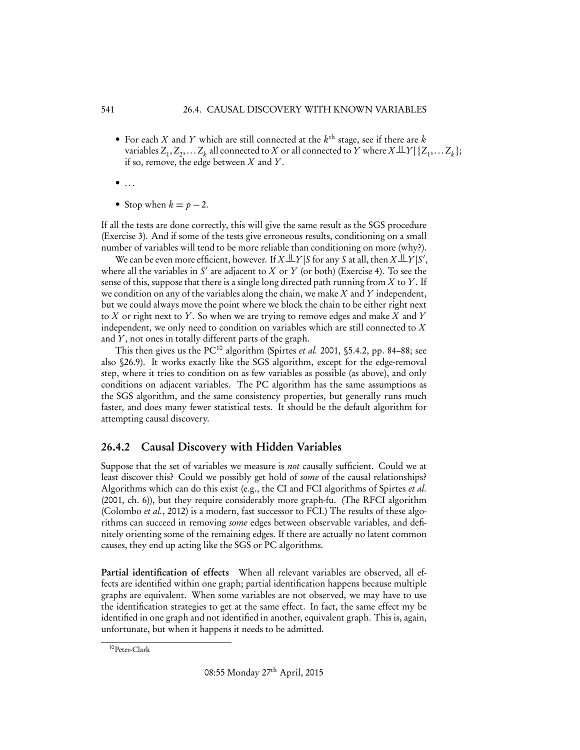- For each *X* and *Y* which are still connected at the  $k^{\text{th}}$  stage, see if there are  $k$ variables  $Z_1, Z_2, \ldots Z_k$  all connected to *X* or all connected to *Y* where  $X \perp \!\!\!\perp Y | \{Z_1, \ldots Z_k\};$ if so, remove, the edge between *X* and *Y*.
- $\bullet$  ...
- Stop when  $k = p 2$ .

If all the tests are done correctly, this will give the same result as the SGS procedure (Exercise 3). And if some of the tests give erroneous results, conditioning on a small number of variables will tend to be more reliable than conditioning on more (why?).

We can be even more efficient, however. If  $X \perp \!\!\!\perp Y | S$  for any  $S$  at all, then  $X \perp \!\!\!\perp Y | S'$ , where all the variables in  $S'$  are adjacent to  $X$  or  $Y$  (or both) (Exercise 4). To see the sense of this, suppose that there is a single long directed path running from *X* to *Y*. If we condition on any of the variables along the chain, we make *X* and *Y* independent, but we could always move the point where we block the chain to be either right next to *X* or right next to *Y*. So when we are trying to remove edges and make *X* and *Y* independent, we only need to condition on variables which are still connected to *X* and *Y*, not ones in totally different parts of the graph.

This then gives us the PC10 algorithm (Spirtes *et al.* 2001, §5.4.2, pp. 84–88; see also §26.9). It works exactly like the SGS algorithm, except for the edge-removal step, where it tries to condition on as few variables as possible (as above), and only conditions on adjacent variables. The PC algorithm has the same assumptions as the SGS algorithm, and the same consistency properties, but generally runs much faster, and does many fewer statistical tests. It should be the default algorithm for attempting causal discovery.

#### 26.4.2 Causal Discovery with Hidden Variables

Suppose that the set of variables we measure is *not* causally sufficient. Could we at least discover this? Could we possibly get hold of *some* of the causal relationships? Algorithms which can do this exist (e.g., the CI and FCI algorithms of Spirtes *et al.* (2001, ch. 6)), but they require considerably more graph-fu. (The RFCI algorithm (Colombo *et al.*, 2012) is a modern, fast successor to FCI.) The results of these algorithms can succeed in removing *some* edges between observable variables, and definitely orienting some of the remaining edges. If there are actually no latent common causes, they end up acting like the SGS or PC algorithms.

Partial identification of effects When all relevant variables are observed, all effects are identified within one graph; partial identification happens because multiple graphs are equivalent. When some variables are not observed, we may have to use the identification strategies to get at the same effect. In fact, the same effect my be identified in one graph and not identified in another, equivalent graph. This is, again, unfortunate, but when it happens it needs to be admitted.

<sup>10</sup>Peter-Clark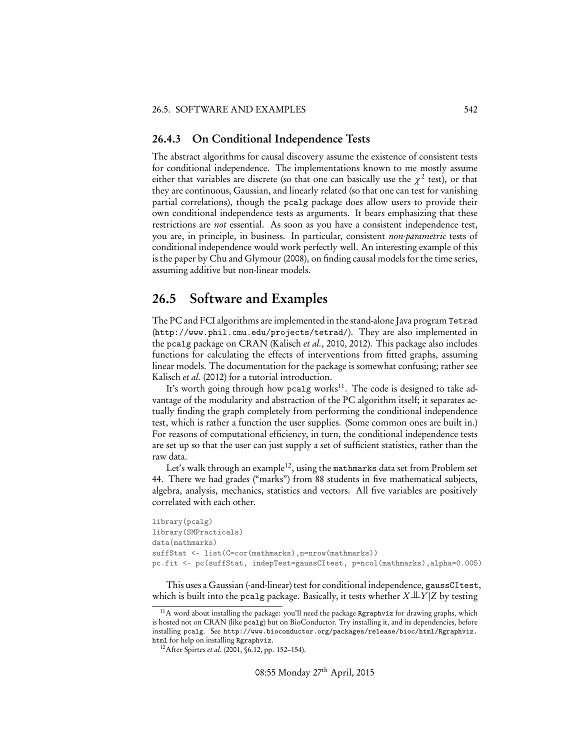#### 26.4.3 On Conditional Independence Tests

The abstract algorithms for causal discovery assume the existence of consistent tests for conditional independence. The implementations known to me mostly assume either that variables are discrete (so that one can basically use the  $\chi^2$  test), or that they are continuous, Gaussian, and linearly related (so that one can test for vanishing partial correlations), though the pcalg package does allow users to provide their own conditional independence tests as arguments. It bears emphasizing that these restrictions are *not* essential. As soon as you have a consistent independence test, you are, in principle, in business. In particular, consistent *non-parametric* tests of conditional independence would work perfectly well. An interesting example of this is the paper by Chu and Glymour (2008), on finding causal models for the time series, assuming additive but non-linear models.

### 26.5 Software and Examples

The PC and FCI algorithms are implemented in the stand-alone Java program Tetrad (http://www.phil.cmu.edu/projects/tetrad/). They are also implemented in the pcalg package on CRAN (Kalisch *et al.*, 2010, 2012). This package also includes functions for calculating the effects of interventions from fitted graphs, assuming linear models. The documentation for the package is somewhat confusing; rather see Kalisch *et al.* (2012) for a tutorial introduction.

It's worth going through how pca1g works<sup>11</sup>. The code is designed to take advantage of the modularity and abstraction of the PC algorithm itself; it separates actually finding the graph completely from performing the conditional independence test, which is rather a function the user supplies. (Some common ones are built in.) For reasons of computational efficiency, in turn, the conditional independence tests are set up so that the user can just supply a set of sufficient statistics, rather than the raw data.

Let's walk through an example<sup>12</sup>, using the mathmarks data set from Problem set 44. There we had grades ("marks") from 88 students in five mathematical subjects, algebra, analysis, mechanics, statistics and vectors. All five variables are positively correlated with each other.

```
library(pcalg)
library(SMPracticals)
data(mathmarks)
suffStat <- list(C=cor(mathmarks), n=nrow(mathmarks))
pc.fit <- pc(suffStat, indepTest=gaussCItest, p=ncol(mathmarks),alpha=0.005)
```
This uses a Gaussian (-and-linear) test for conditional independence, gaussCItest, which is built into the pcalg package. Basically, it tests whether  $X \perp Y/Z$  by testing

<sup>&</sup>lt;sup>11</sup>A word about installing the package: you'll need the package Rgraphviz for drawing graphs, which is hosted not on CRAN (like pcalg) but on BioConductor. Try installing it, and its dependencies, before installing pcalg. See http://www.bioconductor.org/packages/release/bioc/html/Rgraphviz.

<sup>&</sup>lt;sup>12</sup> After Spirtes et al. (2001, §6.12, pp. 152–154).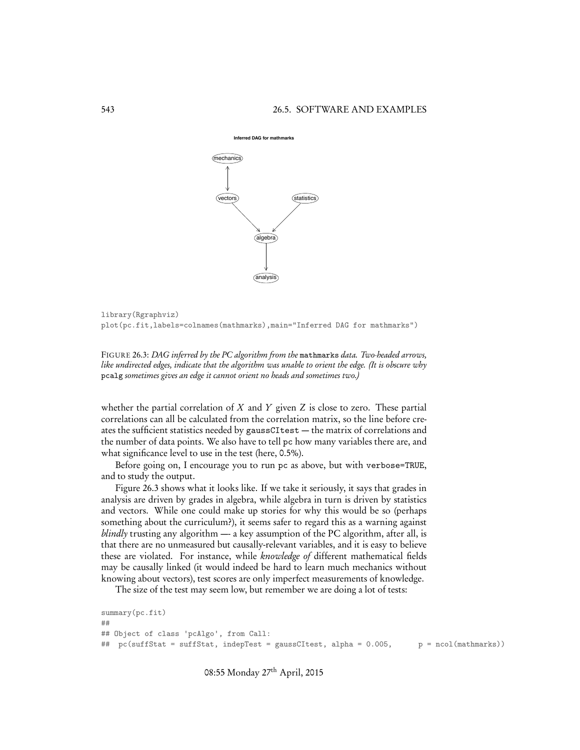

library(Rgraphviz) plot(pc.fit,labels=colnames(mathmarks),main="Inferred DAG for mathmarks")

FIGURE 26.3: *DAG inferred by the PC algorithm from the* mathmarks *data. Two-headed arrows, like undirected edges, indicate that the algorithm was unable to orient the edge. (It is obscure why* pcalg *sometimes gives an edge it cannot orient no heads and sometimes two.)*

whether the partial correlation of *X* and *Y* given *Z* is close to zero. These partial correlations can all be calculated from the correlation matrix, so the line before creates the sufficient statistics needed by gaussCItest — the matrix of correlations and the number of data points. We also have to tell pc how many variables there are, and what significance level to use in the test (here, 0.5%).

Before going on, I encourage you to run pc as above, but with verbose=TRUE, and to study the output.

Figure 26.3 shows what it looks like. If we take it seriously, it says that grades in analysis are driven by grades in algebra, while algebra in turn is driven by statistics and vectors. While one could make up stories for why this would be so (perhaps something about the curriculum?), it seems safer to regard this as a warning against *blindly* trusting any algorithm — a key assumption of the PC algorithm, after all, is that there are no unmeasured but causally-relevant variables, and it is easy to believe these are violated. For instance, while *knowledge of* different mathematical fields may be causally linked (it would indeed be hard to learn much mechanics without knowing about vectors), test scores are only imperfect measurements of knowledge.

The size of the test may seem low, but remember we are doing a lot of tests:

```
summary(pc.fit)
##
## Object of class 'pcAlgo', from Call:
## pc(suffStat = suffStat, indepTest = gaussCItest, alpha = 0.005, p = ncol(mathmarks))
```
08:55 Monday 27<sup>th</sup> April, 2015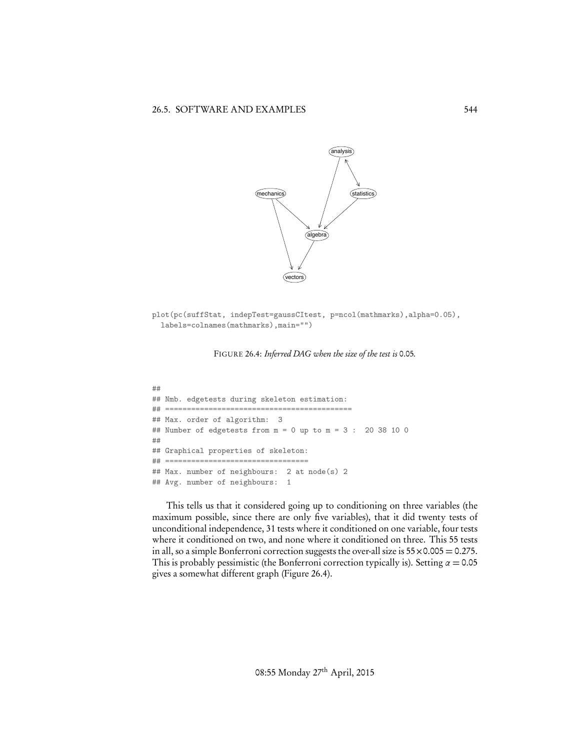

```
plot(pc(suffStat, indepTest=gaussCItest, p=ncol(mathmarks),alpha=0.05),
  labels=colnames(mathmarks),main="")
```
FIGURE 26.4: *Inferred DAG when the size of the test is* 0.05*.*

```
##
## Nmb. edgetests during skeleton estimation:
## ===========================================
## Max. order of algorithm: 3
## Number of edgetests from m = 0 up to m = 3: 20 38 10 0
##
## Graphical properties of skeleton:
## =================================
## Max. number of neighbours: 2 at node(s) 2
## Avg. number of neighbours: 1
```
This tells us that it considered going up to conditioning on three variables (the maximum possible, since there are only five variables), that it did twenty tests of unconditional independence, 31 tests where it conditioned on one variable, four tests where it conditioned on two, and none where it conditioned on three. This 55 tests in all, so a simple Bonferroni correction suggests the over-all size is  $55 \times 0.005 = 0.275$ . This is probably pessimistic (the Bonferroni correction typically is). Setting  $\alpha = 0.05$ gives a somewhat different graph (Figure 26.4).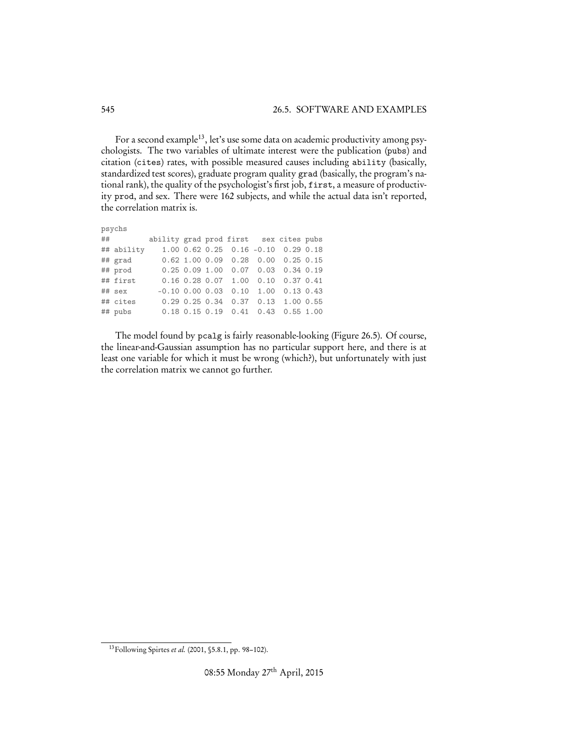For a second example<sup>13</sup>, let's use some data on academic productivity among psychologists. The two variables of ultimate interest were the publication (pubs) and citation (cites) rates, with possible measured causes including ability (basically, standardized test scores), graduate program quality grad (basically, the program's national rank), the quality of the psychologist's first job, first, a measure of productivity prod, and sex. There were 162 subjects, and while the actual data isn't reported, the correlation matrix is.

| psychs   |            |  |  |                                                                                                                                                                                                                                                                                                                                                 |
|----------|------------|--|--|-------------------------------------------------------------------------------------------------------------------------------------------------------------------------------------------------------------------------------------------------------------------------------------------------------------------------------------------------|
| ##       |            |  |  |                                                                                                                                                                                                                                                                                                                                                 |
|          |            |  |  |                                                                                                                                                                                                                                                                                                                                                 |
|          |            |  |  |                                                                                                                                                                                                                                                                                                                                                 |
|          |            |  |  |                                                                                                                                                                                                                                                                                                                                                 |
|          |            |  |  |                                                                                                                                                                                                                                                                                                                                                 |
| ## sex   |            |  |  |                                                                                                                                                                                                                                                                                                                                                 |
| ## cites |            |  |  |                                                                                                                                                                                                                                                                                                                                                 |
| ## pubs  |            |  |  |                                                                                                                                                                                                                                                                                                                                                 |
|          | ## ability |  |  | ability grad prod first sex cites pubs<br>1.00 0.62 0.25 0.16 -0.10 0.29 0.18<br>## grad 0.62 1.00 0.09 0.28 0.00 0.25 0.15<br>## prod 0.25 0.09 1.00 0.07 0.03 0.34 0.19<br>## first 0.16 0.28 0.07 1.00 0.10 0.37 0.41<br>$-0.10$ 0.00 0.03 0.10 1.00 0.13 0.43<br>0.29 0.25 0.34 0.37 0.13 1.00 0.55<br>$0.18$ 0.15 0.19 0.41 0.43 0.55 1.00 |

The model found by pcalg is fairly reasonable-looking (Figure 26.5). Of course, the linear-and-Gaussian assumption has no particular support here, and there is at least one variable for which it must be wrong (which?), but unfortunately with just the correlation matrix we cannot go further.

<sup>13</sup>Following Spirtes *et al.* (2001, §5.8.1, pp. 98–102).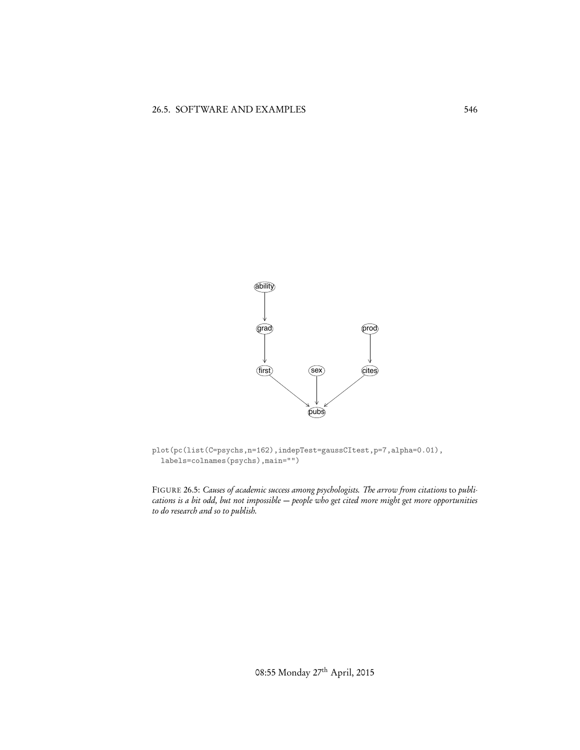

plot(pc(list(C=psychs,n=162),indepTest=gaussCItest,p=7,alpha=0.01), labels=colnames(psychs),main="")

FIGURE 26.5: *Causes of academic success among psychologists. The arrow from citations* to *publications is a bit odd, but not impossible — people who get cited more might get more opportunities to do research and so to publish.*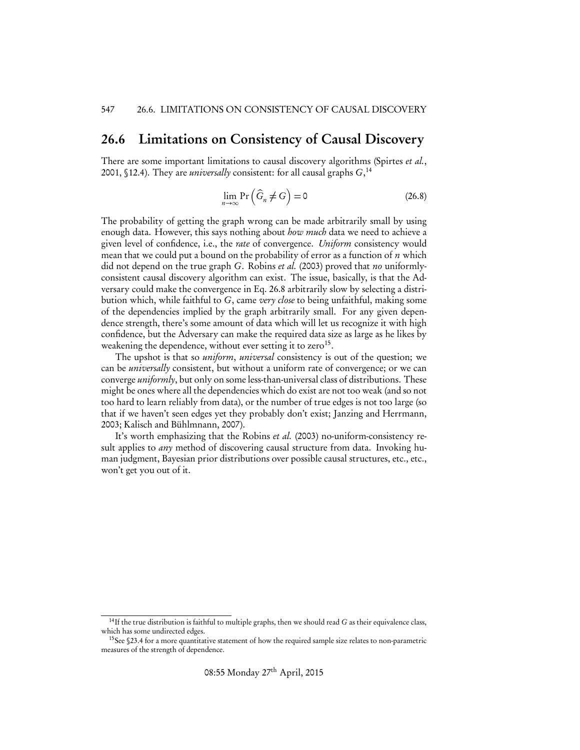### 26.6 Limitations on Consistency of Causal Discovery

There are some important limitations to causal discovery algorithms (Spirtes *et al.*, 2001, §12.4). They are *universally* consistent: for all causal graphs *G*, 14

$$
\lim_{n \to \infty} \Pr\left(\widehat{G}_n \neq G\right) = 0 \tag{26.8}
$$

The probability of getting the graph wrong can be made arbitrarily small by using enough data. However, this says nothing about *how much* data we need to achieve a given level of confidence, i.e., the *rate* of convergence. *Uniform* consistency would mean that we could put a bound on the probability of error as a function of *n* which did not depend on the true graph *G*. Robins *et al.* (2003) proved that *no* uniformlyconsistent causal discovery algorithm can exist. The issue, basically, is that the Adversary could make the convergence in Eq. 26.8 arbitrarily slow by selecting a distribution which, while faithful to *G*, came *very close* to being unfaithful, making some of the dependencies implied by the graph arbitrarily small. For any given dependence strength, there's some amount of data which will let us recognize it with high confidence, but the Adversary can make the required data size as large as he likes by weakening the dependence, without ever setting it to zero<sup>15</sup>.

The upshot is that so *uniform*, *universal* consistency is out of the question; we can be *universally* consistent, but without a uniform rate of convergence; or we can converge *uniformly*, but only on some less-than-universal class of distributions. These might be ones where all the dependencies which do exist are not too weak (and so not too hard to learn reliably from data), or the number of true edges is not too large (so that if we haven't seen edges yet they probably don't exist; Janzing and Herrmann, 2003; Kalisch and Bühlmnann, 2007).

It's worth emphasizing that the Robins *et al.* (2003) no-uniform-consistency result applies to *any* method of discovering causal structure from data. Invoking human judgment, Bayesian prior distributions over possible causal structures, etc., etc., won't get you out of it.

<sup>&</sup>lt;sup>14</sup>If the true distribution is faithful to multiple graphs, then we should read *G* as their equivalence class, which has some undirected edges.

<sup>&</sup>lt;sup>15</sup>See §23.4 for a more quantitative statement of how the required sample size relates to non-parametric measures of the strength of dependence.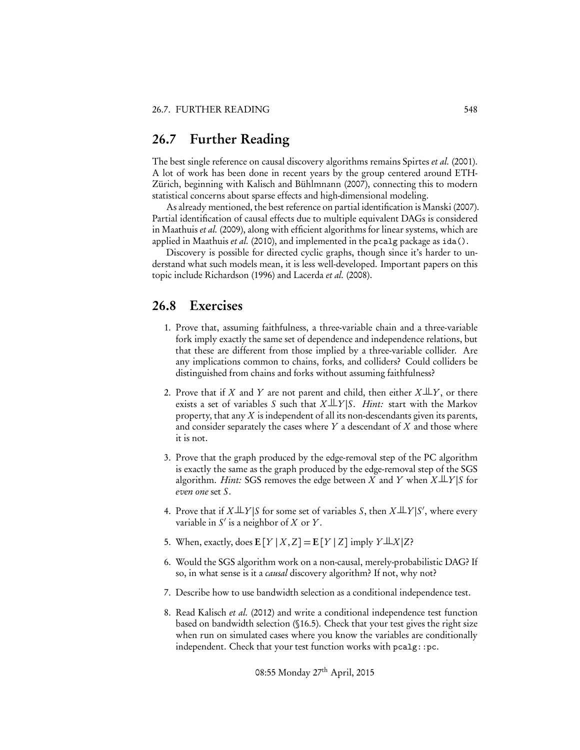### 26.7 Further Reading

The best single reference on causal discovery algorithms remains Spirtes *et al.* (2001). A lot of work has been done in recent years by the group centered around ETH-Zürich, beginning with Kalisch and Bühlmnann (2007), connecting this to modern statistical concerns about sparse effects and high-dimensional modeling.

As already mentioned, the best reference on partial identification is Manski (2007). Partial identification of causal effects due to multiple equivalent DAGs is considered in Maathuis *et al.* (2009), along with efficient algorithms for linear systems, which are applied in Maathuis *et al.* (2010), and implemented in the pcalg package as ida().

Discovery is possible for directed cyclic graphs, though since it's harder to understand what such models mean, it is less well-developed. Important papers on this topic include Richardson (1996) and Lacerda *et al.* (2008).

### 26.8 Exercises

- 1. Prove that, assuming faithfulness, a three-variable chain and a three-variable fork imply exactly the same set of dependence and independence relations, but that these are different from those implied by a three-variable collider. Are any implications common to chains, forks, and colliders? Could colliders be distinguished from chains and forks without assuming faithfulness?
- 2. Prove that if X and Y are not parent and child, then either  $X \perp Y$ , or there exists a set of variables *S* such that  $X \perp\!\!\!\perp Y | S$ . *Hint:* start with the Markov property, that any *X* is independent of all its non-descendants given its parents, and consider separately the cases where *Y* a descendant of *X* and those where it is not.
- 3. Prove that the graph produced by the edge-removal step of the PC algorithm is exactly the same as the graph produced by the edge-removal step of the SGS algorithm. *Hint:* SGS removes the edge between *X* and *Y* when  $X \perp Y$  *S* for *even one* set *S*.
- 4. Prove that if  $X \perp \!\!\!\perp Y$  *S* for some set of variables *S*, then  $X \perp \!\!\!\perp Y$  *S'*, where every variable in  $S'$  is a neighbor of  $X$  or  $Y$ .
- 5. When, exactly, does  $E[Y|X,Z] = E[Y|Z]$  imply  $Y \perp \perp X|Z$ ?
- 6. Would the SGS algorithm work on a non-causal, merely-probabilistic DAG? If so, in what sense is it a *causal* discovery algorithm? If not, why not?
- 7. Describe how to use bandwidth selection as a conditional independence test.
- 8. Read Kalisch *et al.* (2012) and write a conditional independence test function based on bandwidth selection (§16.5). Check that your test gives the right size when run on simulated cases where you know the variables are conditionally independent. Check that your test function works with pcalg::pc.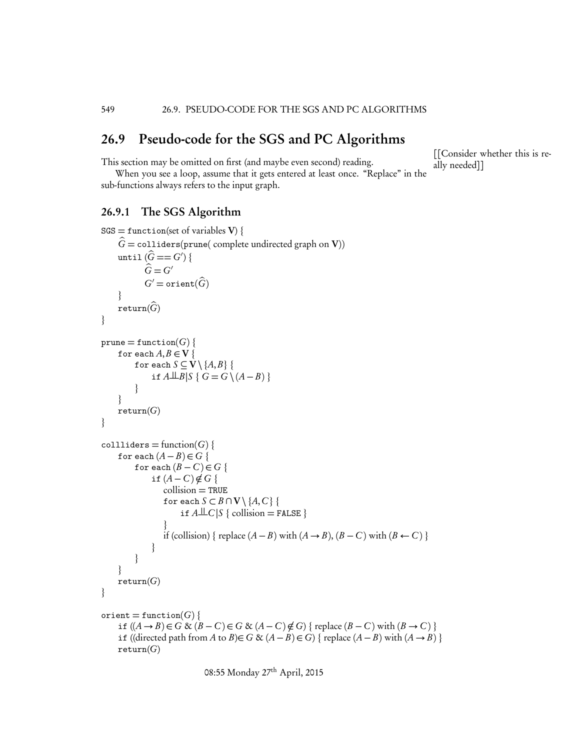### 26.9 Pseudo-code for the SGS and PC Algorithms

This section may be omitted on first (and maybe even second) reading.

[[Consider whether this is re-<br>ally needed]]

When you see a loop, assume that it gets entered at least once. "Replace" in the sub-functions always refers to the input graph.

#### 26.9.1 The SGS Algorithm

```
SGS = function(set of variables V) {
     G = colliders(prune( complete undirected graph on V))
     \text{until } (G == G') \, \{\widehat{G} = G'G' = \text{orient}(\widehat{G})}
     return(\widehat{G})}
prune = function(G)for each A, B \in V {
          for each S \subseteq V \setminus \{A, B\} {
               if A \perp \!\!\!\perp B | S { G = G \setminus (A - B) }}
     }
     return(G)
}
collliders = function(G)for each (A - B) \in G {
          for each (B - C) \in G {
               if (A - C) \notin Gcollision = TRUEfor each S \subset B \cap V \setminus \{A, C\} {
                        if A \perp\!\!\!\perp C | S \{ collision = FALSE \}}
                   if (collision) { replace (A - B) with (A \rightarrow B), (B - C) with (B \leftarrow C) }
               }
          }
     }
     return(G)
}
orient = function(G) {
     if ((A \rightarrow B) \in G \& (B - C) \in G \& (A - C) \notin G { replace (B - C) with (B \rightarrow C) }
     if ((directed path from A to B)\in G & (A -B) \in G) { replace (A -B) with (A \rightarrow B) }
     return(G)
```
08:55 Monday 27<sup>th</sup> April, 2015